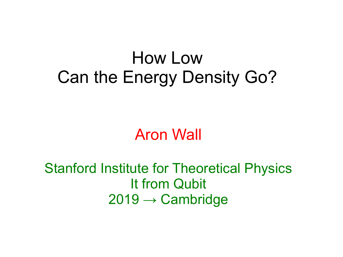## How Low Can the Energy Density Go?

Aron Wall

Stanford Institute for Theoretical Physics It from Qubit  $2019 \rightarrow$  Cambridge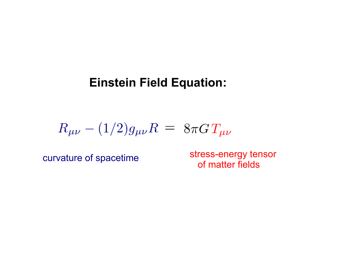#### **Einstein Field Equation:**

$$
R_{\mu\nu} - (1/2)g_{\mu\nu}R = 8\pi G T_{\mu\nu}
$$

stress-energy tensor curvature of spacetime<br>of matter fields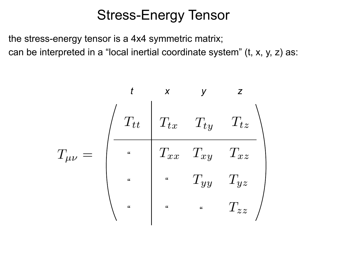## Stress-Energy Tensor

the stress-energy tensor is a 4x4 symmetric matrix; can be interpreted in a "local inertial coordinate system" (t, x, y, z) as:

|              |                |                                 |                            | Z        |
|--------------|----------------|---------------------------------|----------------------------|----------|
|              | $T_{tt}$       | $T_{tx}$                        | $T_{ty}$                   | $T_{tz}$ |
| $T_{\mu\nu}$ | $\alpha$       |                                 | $T_{xx}$ $T_{xy}$ $T_{xz}$ |          |
|              | $\overline{a}$ | $\boldsymbol{\mu}$              | $T_{yy}$                   | $T_{yz}$ |
|              | $\alpha$       | $\pmb{\epsilon} \pmb{\epsilon}$ | $\alpha$                   | $T_{zz}$ |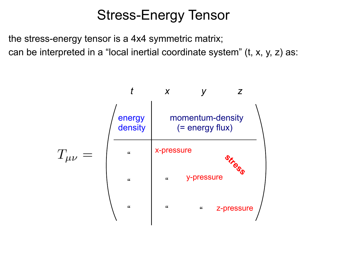## Stress-Energy Tensor

the stress-energy tensor is a 4x4 symmetric matrix; can be interpreted in a "local inertial coordinate system" (t, x, y, z) as:

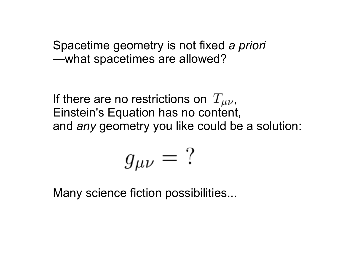Spacetime geometry is not fixed *a priori* —what spacetimes are allowed?

If there are no restrictions on  $T_{\mu\nu}$ , Einstein's Equation has no content, and *any* geometry you like could be a solution:

$$
g_{\mu\nu} = ?
$$

Many science fiction possibilities...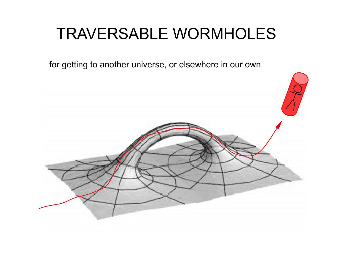## TRAVERSABLE WORMHOLES

for getting to another universe, or elsewhere in our own

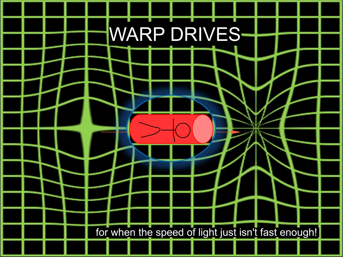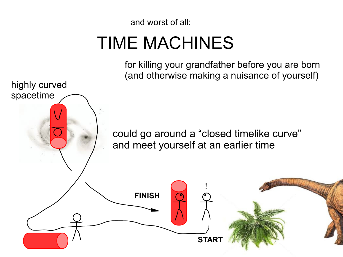and worst of all:

highly curved

spacetime

# TIME MACHINES

for killing your grandfather before you are born (and otherwise making a nuisance of yourself)

could go around a "closed timelike curve" and meet yourself at an earlier time

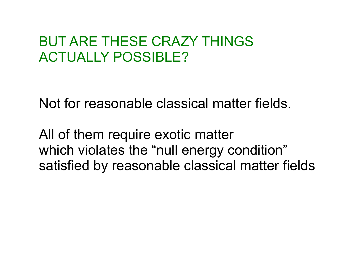## BUT ARE THESE CRAZY THINGS ACTUALLY POSSIBLE?

Not for reasonable classical matter fields.

All of them require exotic matter which violates the "null energy condition" satisfied by reasonable classical matter fields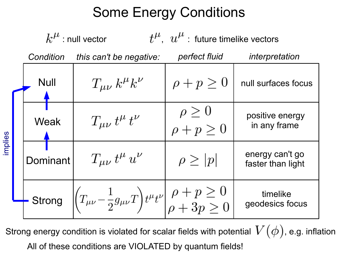## Some Energy Conditions

 $k^{\mu}$ : null vector  $t^{\mu}$ ,  $u^{\mu}$ : future timelike vectors *Condition this can't be negative: perfect fluid interpretation* Null  $\rho + p \geq 0$  $T_{\mu\nu}k^{\mu}k^{\nu}$ null surfaces focus  $\rho \geq 0$ <br> $\rho + p \geq 0$ positive energy  $T_{\mu\nu} t^{\mu} t^{\nu}$ **Weak**  in any frame plie  $\Xi$   $\blacksquare$ energy can't go  $T_{\mu\nu} t^{\mu} u^{\nu}$  $\rho \geq |p|$ **Dominant** faster than light  $\left| \left( T_{\mu\nu} - \frac{1}{2} g_{\mu\nu} T \right) t^{\mu} t^{\nu} \right| \begin{array}{c} \rho + p \geq 0 \\ \rho + 3p > 0 \end{array}$  timelike Strong geodesics focus

ഗ

Strong energy condition is violated for scalar fields with potential  $\,V(\phi)$ , e.g. inflation All of these conditions are VIOLATED by quantum fields!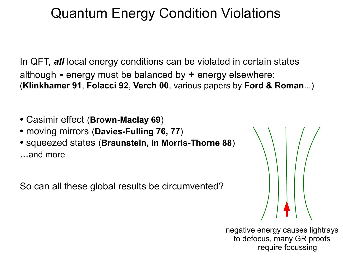## Quantum Energy Condition Violations

In QFT, *all* local energy conditions can be violated in certain states although **-** energy must be balanced by **+** energy elsewhere: (**KIinkhamer 91**, **Folacci 92**, **Verch 00**, various papers by **Ford & Roman**...)

- Casimir effect (**Brown-Maclay 69**)
- moving mirrors (**Davies-Fulling 76, 77**)
- squeezed states (**Braunstein, in Morris-Thorne 88**) ...and more

So can all these global results be circumvented?

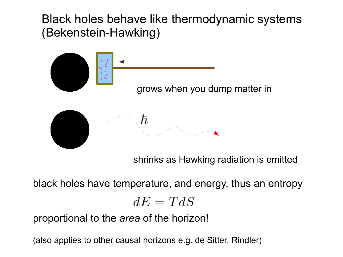Black holes behave like thermodynamic systems (Bekenstein-Hawking)



shrinks as Hawking radiation is emitted

black holes have temperature, and energy, thus an entropy

$$
dE = TdS
$$

proportional to the *area* of the horizon!

(also applies to other causal horizons e.g. de Sitter, Rindler)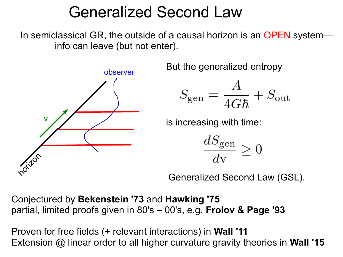## Generalized Second Law

In semiclassical GR, the outside of a causal horizon is an OPEN system info can leave (but not enter).



But the generalized entropy

$$
S_\mathrm{gen} = \frac{A}{4G\hbar} + S_\mathrm{out}
$$

is increasing with time:

 $\frac{dS_{\text{gen}}}{dx}$ 

Generalized Second Law (GSL).

Conjectured by **Bekenstein '73** and **Hawking '75** partial, limited proofs given in 80's – 00's, e.g. **Frolov & Page '93**

Proven for free fields (+ relevant interactions) in **Wall '11** Extension @ linear order to all higher curvature gravity theories in **Wall '15**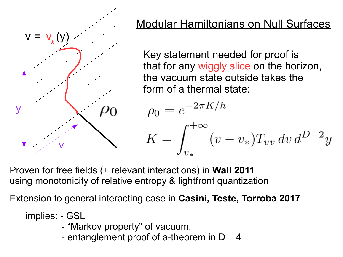

### Modular Hamiltonians on Null Surfaces

Key statement needed for proof is that for any wiggly slice on the horizon, the vacuum state outside takes the form of a thermal state:

$$
\rho_0 = e^{-2\pi K/\hbar}
$$
  

$$
K = \int_{v_*}^{+\infty} (v - v_*) T_{vv} dv d^{D-2}y
$$

Proven for free fields (+ relevant interactions) in **Wall 2011** using monotonicity of relative entropy & lightfront quantization

Extension to general interacting case in **Casini, Teste, Torroba 2017**

implies: - GSL

- "Markov property" of vacuum,
- entanglement proof of a-theorem in  $D = 4$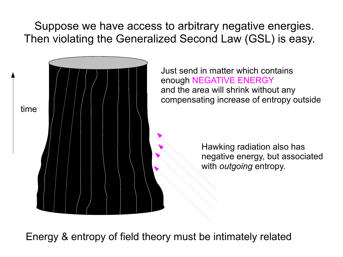Suppose we have access to arbitrary negative energies. Then violating the Generalized Second Law (GSL) is easy.



Energy & entropy of field theory must be intimately related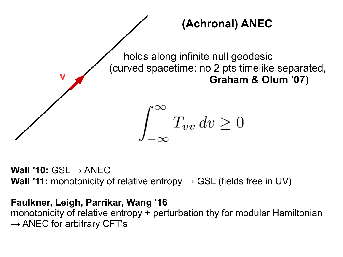

**Wall '10: GSL → ANEC Wall '11:** monotonicity of relative entropy  $\rightarrow$  GSL (fields free in UV)

#### **Faulkner, Leigh, Parrikar, Wang '16**

monotonicity of relative entropy + perturbation thy for modular Hamiltonian  $\rightarrow$  ANEC for arbitrary CFT's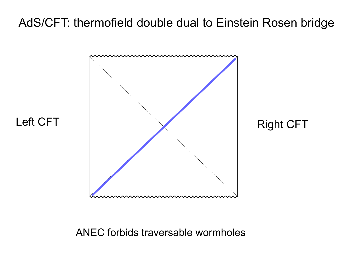#### AdS/CFT: thermofield double dual to Einstein Rosen bridge



#### ANEC forbids traversable wormholes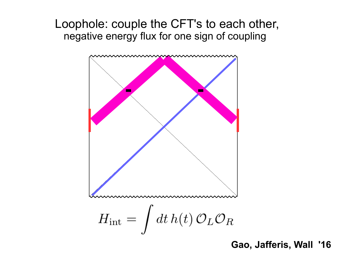#### Loophole: couple the CFT's to each other, negative energy flux for one sign of coupling



**Gao, Jafferis, Wall '16**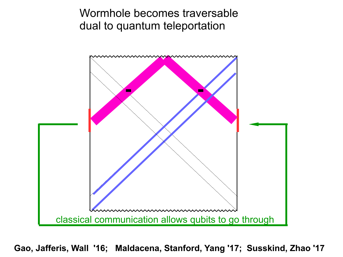Wormhole becomes traversable dual to quantum teleportation



**Gao, Jafferis, Wall '16; Maldacena, Stanford, Yang '17; Susskind, Zhao '17**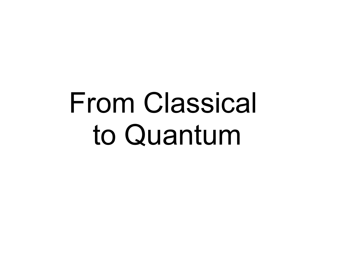# From Classical to Quantum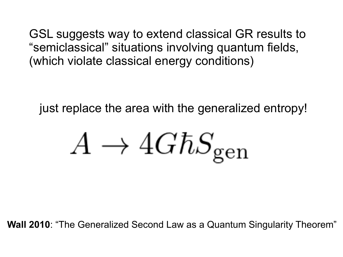GSL suggests way to extend classical GR results to "semiclassical" situations involving quantum fields, (which violate classical energy conditions)

just replace the area with the generalized entropy!

$$
A \to 4G\hbar S_{\rm gen}
$$

**Wall 2010**: "The Generalized Second Law as a Quantum Singularity Theorem"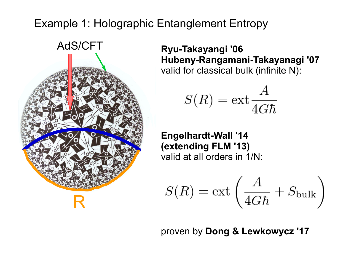#### Example 1: Holographic Entanglement Entropy



**Ryu-Takayangi '06 Hubeny-Rangamani-Takayanagi '07** valid for classical bulk (infinite N):

$$
S(R) = \text{ext}\frac{A}{4G\hbar}
$$

**Engelhardt-Wall '14 (extending FLM '13)** valid at all orders in 1/N:

$$
S(R) = \mathrm{ext}\left(\frac{A}{4G\hbar} + S_{\mathrm{bulk}}\right)
$$

proven by **Dong & Lewkowycz '17**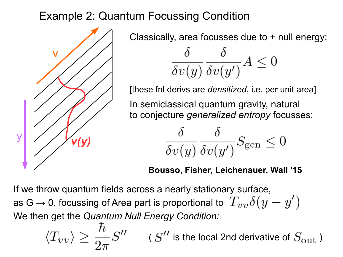#### Example 2: Quantum Focussing Condition



Classically, area focusses due to + null energy:

$$
\frac{\delta}{\delta v(y)} \frac{\delta}{\delta v(y')} A \le 0
$$

[these fnl derivs are *densitized*, i.e. per unit area]

In semiclassical quantum gravity, natural to conjecture *generalized entropy* focusses:

$$
\frac{\delta}{\delta v(y)} \frac{\delta}{\delta v(y')} S_{\text{gen}} \le 0
$$

#### **Bousso, Fisher, Leichenauer, Wall '15**

If we throw quantum fields across a nearly stationary surface, as G  $\rightarrow$  0, focussing of Area part is proportional to  $T_{vv}\delta(y-y')$ We then get the *Quantum Null Energy Condition:*

$$
\langle T_{vv} \rangle \geq \frac{\hbar}{2\pi} S^{\prime\prime} \qquad (S^{\prime\prime} \text{ is the local 2nd derivative of } S_{\text{out}})
$$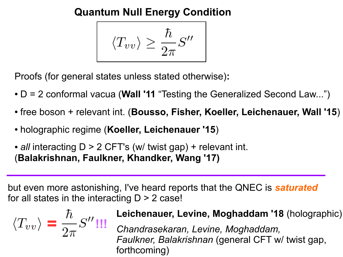**Quantum Null Energy Condition**

$$
\langle T_{vv} \rangle \geq \frac{\hbar}{2\pi}S^{\prime\prime}
$$

Proofs (for general states unless stated otherwise)**:**

- D = 2 conformal vacua (**Wall '11** "Testing the Generalized Second Law...")
- free boson + relevant int. (**Bousso, Fisher, Koeller, Leichenauer, Wall '15**)
- holographic regime (**Koeller, Leichenauer '15**)
- *all* interacting D > 2 CFT's (w/ twist gap) + relevant int. (**Balakrishnan, Faulkner, Khandker, Wang '17)**

but even more astonishing, I've heard reports that the QNEC is *saturated* for all states in the interacting  $D > 2$  case!

$$
\langle T_{vv} \rangle = \frac{\hbar}{2\pi} S''
$$

#### **Leichenauer, Levine, Moghaddam '18** (holographic)

*Chandrasekaran, Levine, Moghaddam, Faulkner, Balakrishnan* (general CFT w/ twist gap, forthcoming)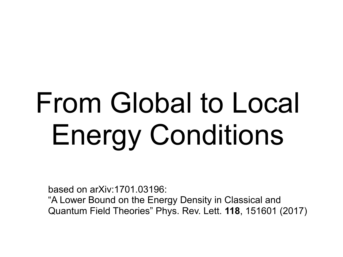# From Global to Local Energy Conditions

based on arXiv:1701.03196:

"A Lower Bound on the Energy Density in Classical and Quantum Field Theories" Phys. Rev. Lett. **118**, 151601 (2017)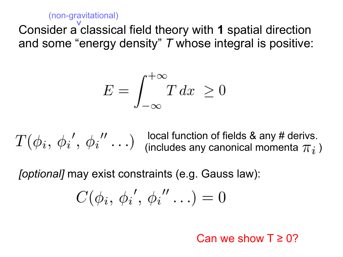(non-gravitational)

Consider a classical field theory with **1** spatial direction ^and some "energy density" *T* whose integral is positive:

$$
E = \int_{-\infty}^{+\infty} T \, dx \ge 0
$$

local function of fields & any # derivs. (includes any canonical momenta  $\pi_i$ )

*[optional]* may exist constraints (e.g. Gauss law):

$$
C(\phi_i, \phi_i', \phi_i'' \ldots) = 0
$$

Can we show  $T \geq 0$ ?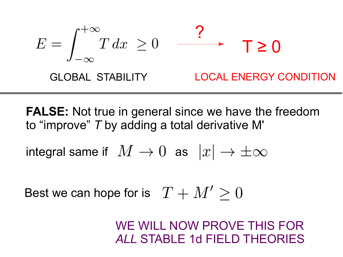$$
E = \int_{-\infty}^{+\infty} T dx \ge 0 \qquad \qquad \text{7} \ge 0
$$
\nGLOBAL STABILITY

\nLOCAL Energy CONDITION

**FALSE:** Not true in general since we have the freedom to "improve" *T* by adding a total derivative M'

integral same if  $M \to 0$  as  $|x| \to \pm \infty$ 

Best we can hope for is  $T + M' \geq 0$ 

WE WILL NOW PROVE THIS FOR *ALL* STABLE 1d FIELD THEORIES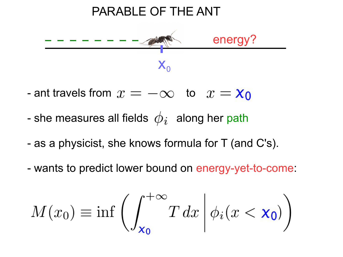

- ant travels from  $x = -\infty$  to  $x = \mathbf{x}_0$
- she measures all fields  $\phi_i$  along her path
- as a physicist, she knows formula for T (and C's).
- wants to predict lower bound on energy-yet-to-come:

$$
M(x_0) \equiv \inf \left( \int_{\mathbf{x_0}}^{+\infty} T \, dx \, \middle| \, \phi_i(x < \mathbf{x_0}) \right)
$$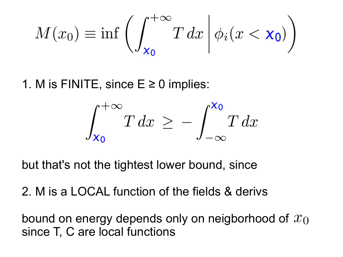$$
M(x_0) \equiv \inf \left( \int_{\mathbf{x_0}}^{+\infty} T \, dx \, \middle| \, \phi_i(x < \mathbf{x_0}) \right)
$$

1. M is FINITE, since  $E \ge 0$  implies:

$$
\int_{x_0}^{+\infty} T dx \ge -\int_{-\infty}^{x_0} T dx
$$

but that's not the tightest lower bound, since

2. M is a LOCAL function of the fields & derivs

bound on energy depends only on neigborhood of  $x_0$ since T, C are local functions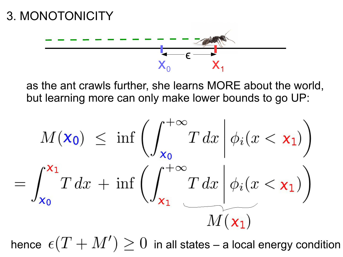

as the ant crawls further, she learns MORE about the world, but learning more can only make lower bounds to go UP:

$$
M(\mathbf{x_0}) \le \inf \left( \int_{\mathbf{x_0}}^{+\infty} T \, dx \, \middle| \, \phi_i(x < \mathbf{x_1}) \right)
$$
\n
$$
= \int_{\mathbf{x_0}}^{\mathbf{x_1}} T \, dx + \inf \left( \int_{\mathbf{x_1}}^{+\infty} T \, dx \, \middle| \, \phi_i(x < \mathbf{x_1}) \right)
$$
\n
$$
M(\mathbf{x_1})
$$

hence  $\epsilon(T+M')\geq 0$  in all states – a local energy condition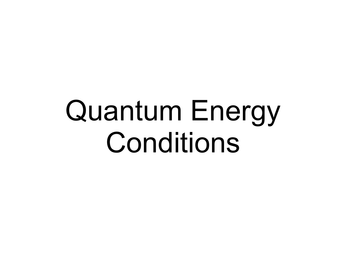# Quantum Energy Conditions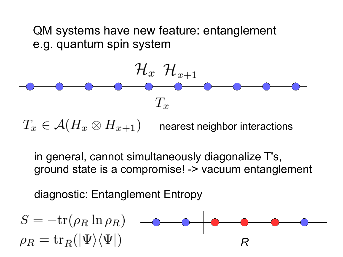QM systems have new feature: entanglement e.g. quantum spin system



in general, cannot simultaneously diagonalize T's, ground state is a compromise! -> vacuum entanglement

diagnostic: Entanglement Entropy

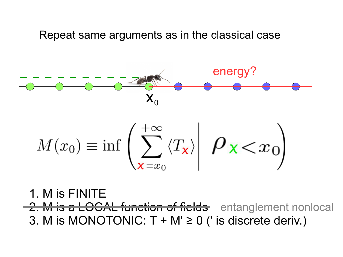Repeat same arguments as in the classical case



1. M is FINITE 2. M is a LOCAL function of fields entanglement nonlocal 3. M is MONOTONIC:  $T + M' \ge 0$  (' is discrete deriv.)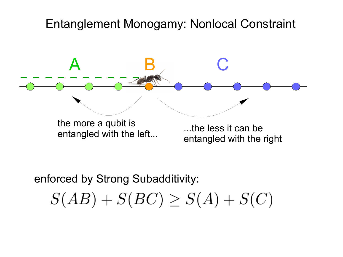#### Entanglement Monogamy: Nonlocal Constraint



enforced by Strong Subadditivity:

 $S(AB) + S(BC) \geq S(A) + S(C)$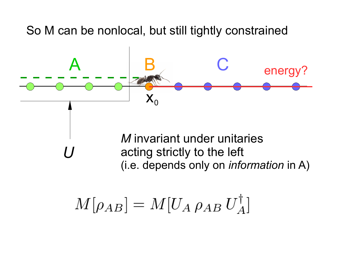So M can be nonlocal, but still tightly constrained

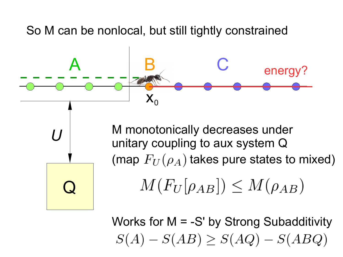So M can be nonlocal, but still tightly constrained



Works for  $M = -S'$  by Strong Subadditivity  $S(A) - S(AB) \geq S(AQ) - S(ABQ)$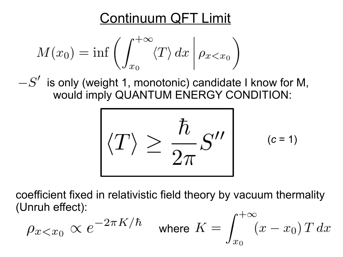## Continuum QFT Limit

$$
M(x_0) = \inf \left( \int_{x_0}^{+\infty} \langle T \rangle dx \, \middle| \, \rho_{x < x_0} \right)
$$

 $i-S'$  is only (weight 1, monotonic) candidate I know for M, would imply QUANTUM ENERGY CONDITION:

$$
\langle T \rangle \geq \frac{\hbar}{2\pi} S'' \qquad (c=1)
$$

coefficient fixed in relativistic field theory by vacuum thermality (Unruh effect):  $\frac{1}{2}$ 

$$
\rho_{x
$$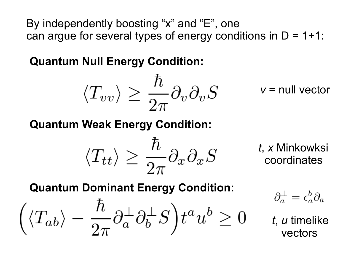By independently boosting "x" and "E", one can argue for several types of energy conditions in  $D = 1+1$ :

**Quantum Null Energy Condition:**

$$
\langle T_{vv} \rangle \geq \frac{\hbar}{2\pi} \partial_v \partial_v S
$$

*v* = null vector

**Quantum Weak Energy Condition:**

$$
\langle T_{tt} \rangle \geq \frac{\hbar}{2\pi} \partial_x \partial_x S
$$

*t*, *x* Minkowksi coordinates

**Quantum Dominant Energy Condition:**

$$
\Big(\langle T_{ab}\rangle - \frac{\hbar}{2\pi}\partial^\perp_a\partial^\perp_b S\Big) t^a u^b \ge 0
$$

$$
\partial_a^\perp = \epsilon_a^b \partial_a
$$

*t*, *u* timelike vectors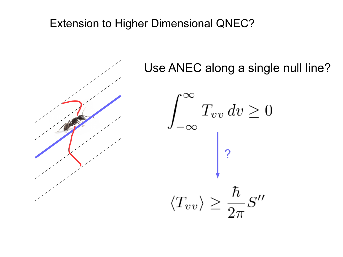#### Extension to Higher Dimensional QNEC?